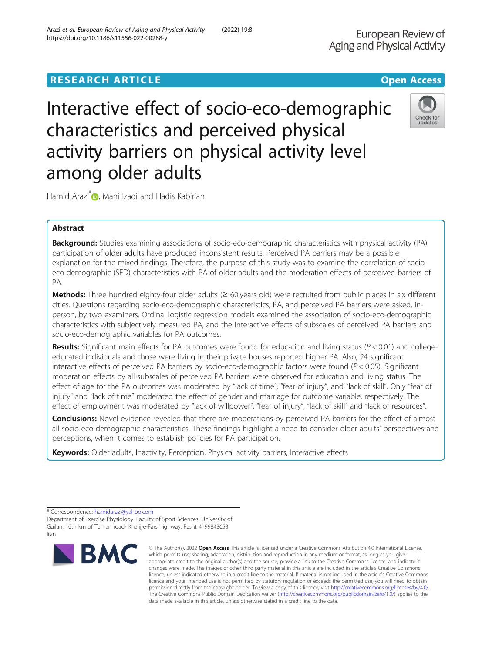# **RESEARCH ARTICLE Example 2014 12:30 The Contract of Contract ACCESS**

Interactive effect of socio-eco-demographic characteristics and perceived physical activity barriers on physical activity level among older adults

Hamid Arazi<sup>\*</sup> <sub>(b</sub>, Mani Izadi and Hadis Kabirian

# Abstract

Background: Studies examining associations of socio-eco-demographic characteristics with physical activity (PA) participation of older adults have produced inconsistent results. Perceived PA barriers may be a possible explanation for the mixed findings. Therefore, the purpose of this study was to examine the correlation of socioeco-demographic (SED) characteristics with PA of older adults and the moderation effects of perceived barriers of PA.

Methods: Three hundred eighty-four older adults ( $\geq 60$  years old) were recruited from public places in six different cities. Questions regarding socio-eco-demographic characteristics, PA, and perceived PA barriers were asked, inperson, by two examiners. Ordinal logistic regression models examined the association of socio-eco-demographic characteristics with subjectively measured PA, and the interactive effects of subscales of perceived PA barriers and socio-eco-demographic variables for PA outcomes.

Results: Significant main effects for PA outcomes were found for education and living status ( $P < 0.01$ ) and collegeeducated individuals and those were living in their private houses reported higher PA. Also, 24 significant interactive effects of perceived PA barriers by socio-eco-demographic factors were found  $(P < 0.05)$ . Significant moderation effects by all subscales of perceived PA barriers were observed for education and living status. The effect of age for the PA outcomes was moderated by "lack of time", "fear of injury", and "lack of skill". Only "fear of injury" and "lack of time" moderated the effect of gender and marriage for outcome variable, respectively. The effect of employment was moderated by "lack of willpower", "fear of injury", "lack of skill" and "lack of resources".

Conclusions: Novel evidence revealed that there are moderations by perceived PA barriers for the effect of almost all socio-eco-demographic characteristics. These findings highlight a need to consider older adults' perspectives and perceptions, when it comes to establish policies for PA participation.

Keywords: Older adults, Inactivity, Perception, Physical activity barriers, Interactive effects

\* Correspondence: [hamidarazi@yahoo.com](mailto:hamidarazi@yahoo.com)

**BMC** 

Department of Exercise Physiology, Faculty of Sport Sciences, University of Guilan, 10th km of Tehran road- Khalij-e-Fars highway, Rasht 4199843653, Iran







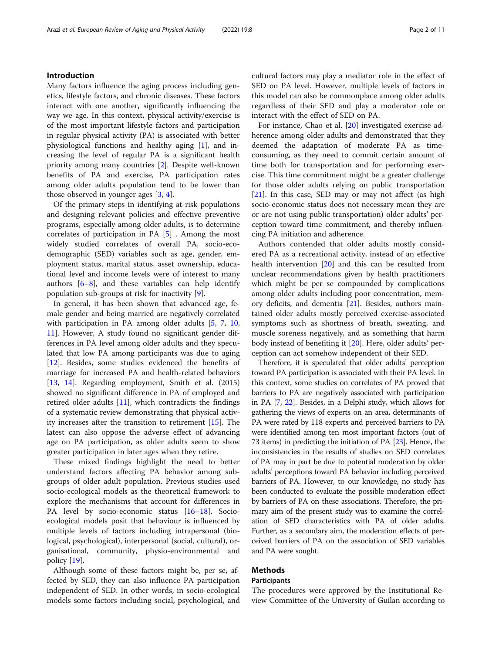# Introduction

Many factors influence the aging process including genetics, lifestyle factors, and chronic diseases. These factors interact with one another, significantly influencing the way we age. In this context, physical activity/exercise is of the most important lifestyle factors and participation in regular physical activity (PA) is associated with better physiological functions and healthy aging [\[1](#page-9-0)], and increasing the level of regular PA is a significant health priority among many countries [\[2\]](#page-9-0). Despite well-known benefits of PA and exercise, PA participation rates among older adults population tend to be lower than those observed in younger ages  $[3, 4]$  $[3, 4]$  $[3, 4]$  $[3, 4]$ .

Of the primary steps in identifying at-risk populations and designing relevant policies and effective preventive programs, especially among older adults, is to determine correlates of participation in PA [\[5](#page-9-0)] . Among the most widely studied correlates of overall PA, socio-ecodemographic (SED) variables such as age, gender, employment status, marital status, asset ownership, educational level and income levels were of interest to many authors  $[6-8]$  $[6-8]$  $[6-8]$ , and these variables can help identify population sub-groups at risk for inactivity [\[9](#page-9-0)].

In general, it has been shown that advanced age, female gender and being married are negatively correlated with participation in PA among older adults [\[5](#page-9-0), [7,](#page-9-0) [10](#page-9-0), [11\]](#page-9-0). However, A study found no significant gender differences in PA level among older adults and they speculated that low PA among participants was due to aging [[12\]](#page-9-0). Besides, some studies evidenced the benefits of marriage for increased PA and health-related behaviors [[13,](#page-9-0) [14\]](#page-9-0). Regarding employment, Smith et al. (2015) showed no significant difference in PA of employed and retired older adults  $[11]$  $[11]$ , which contradicts the findings of a systematic review demonstrating that physical activity increases after the transition to retirement [\[15](#page-9-0)]. The latest can also oppose the adverse effect of advancing age on PA participation, as older adults seem to show greater participation in later ages when they retire.

These mixed findings highlight the need to better understand factors affecting PA behavior among subgroups of older adult population. Previous studies used socio-ecological models as the theoretical framework to explore the mechanisms that account for differences in PA level by socio-economic status [\[16](#page-9-0)–[18\]](#page-9-0). Socioecological models posit that behaviour is influenced by multiple levels of factors including intrapersonal (biological, psychological), interpersonal (social, cultural), organisational, community, physio-environmental and policy [\[19\]](#page-9-0).

Although some of these factors might be, per se, affected by SED, they can also influence PA participation independent of SED. In other words, in socio-ecological models some factors including social, psychological, and cultural factors may play a mediator role in the effect of SED on PA level. However, multiple levels of factors in this model can also be commonplace among older adults regardless of their SED and play a moderator role or interact with the effect of SED on PA.

For instance, Chao et al. [\[20\]](#page-9-0) investigated exercise adherence among older adults and demonstrated that they deemed the adaptation of moderate PA as timeconsuming, as they need to commit certain amount of time both for transportation and for performing exercise. This time commitment might be a greater challenge for those older adults relying on public transportation [[21\]](#page-9-0). In this case, SED may or may not affect (as high socio-economic status does not necessary mean they are or are not using public transportation) older adults' perception toward time commitment, and thereby influencing PA initiation and adherence.

Authors contended that older adults mostly considered PA as a recreational activity, instead of an effective health intervention [\[20\]](#page-9-0) and this can be resulted from unclear recommendations given by health practitioners which might be per se compounded by complications among older adults including poor concentration, memory deficits, and dementia [[21\]](#page-9-0). Besides, authors maintained older adults mostly perceived exercise-associated symptoms such as shortness of breath, sweating, and muscle soreness negatively, and as something that harm body instead of benefiting it [\[20](#page-9-0)]. Here, older adults' perception can act somehow independent of their SED.

Therefore, it is speculated that older adults' perception toward PA participation is associated with their PA level. In this context, some studies on correlates of PA proved that barriers to PA are negatively associated with participation in PA [[7](#page-9-0), [22](#page-9-0)]. Besides, in a Delphi study, which allows for gathering the views of experts on an area, determinants of PA were rated by 118 experts and perceived barriers to PA were identified among ten most important factors (out of 73 items) in predicting the initiation of PA [[23](#page-9-0)]. Hence, the inconsistencies in the results of studies on SED correlates of PA may in part be due to potential moderation by older adults' perceptions toward PA behavior including perceived barriers of PA. However, to our knowledge, no study has been conducted to evaluate the possible moderation effect by barriers of PA on these associations. Therefore, the primary aim of the present study was to examine the correlation of SED characteristics with PA of older adults. Further, as a secondary aim, the moderation effects of perceived barriers of PA on the association of SED variables and PA were sought.

# Methods

# Participants

The procedures were approved by the Institutional Review Committee of the University of Guilan according to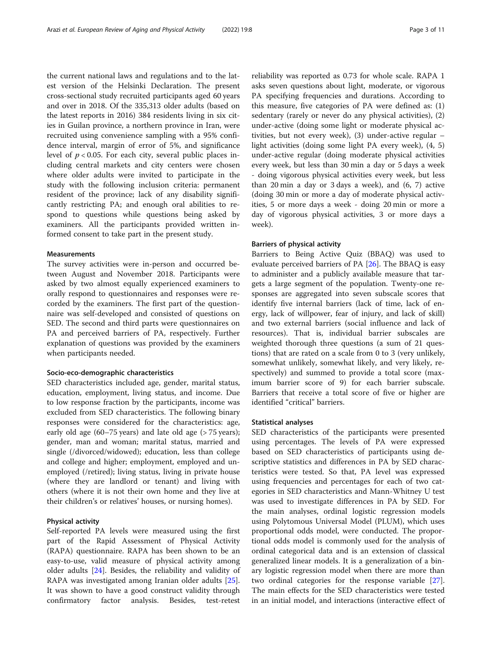the current national laws and regulations and to the latest version of the Helsinki Declaration. The present cross-sectional study recruited participants aged 60 years and over in 2018. Of the 335,313 older adults (based on the latest reports in 2016) 384 residents living in six cities in Guilan province, a northern province in Iran, were recruited using convenience sampling with a 95% confidence interval, margin of error of 5%, and significance level of  $p < 0.05$ . For each city, several public places including central markets and city centers were chosen where older adults were invited to participate in the study with the following inclusion criteria: permanent resident of the province; lack of any disability significantly restricting PA; and enough oral abilities to respond to questions while questions being asked by examiners. All the participants provided written informed consent to take part in the present study.

## Measurements

The survey activities were in-person and occurred between August and November 2018. Participants were asked by two almost equally experienced examiners to orally respond to questionnaires and responses were recorded by the examiners. The first part of the questionnaire was self-developed and consisted of questions on SED. The second and third parts were questionnaires on PA and perceived barriers of PA, respectively. Further explanation of questions was provided by the examiners when participants needed.

## Socio-eco-demographic characteristics

SED characteristics included age, gender, marital status, education, employment, living status, and income. Due to low response fraction by the participants, income was excluded from SED characteristics. The following binary responses were considered for the characteristics: age, early old age (60–75 years) and late old age (> 75 years); gender, man and woman; marital status, married and single (/divorced/widowed); education, less than college and college and higher; employment, employed and unemployed (/retired); living status, living in private house (where they are landlord or tenant) and living with others (where it is not their own home and they live at their children's or relatives' houses, or nursing homes).

# Physical activity

Self-reported PA levels were measured using the first part of the Rapid Assessment of Physical Activity (RAPA) questionnaire. RAPA has been shown to be an easy-to-use, valid measure of physical activity among older adults [[24\]](#page-9-0). Besides, the reliability and validity of RAPA was investigated among Iranian older adults [\[25](#page-9-0)]. It was shown to have a good construct validity through confirmatory factor analysis. Besides, test-retest

reliability was reported as 0.73 for whole scale. RAPA 1 asks seven questions about light, moderate, or vigorous PA specifying frequencies and durations. According to this measure, five categories of PA were defined as: (1) sedentary (rarely or never do any physical activities), (2) under-active (doing some light or moderate physical activities, but not every week), (3) under-active regular – light activities (doing some light PA every week), (4, 5) under-active regular (doing moderate physical activities every week, but less than 30 min a day or 5 days a week - doing vigorous physical activities every week, but less than 20 min a day or 3 days a week), and (6, 7) active (doing 30 min or more a day of moderate physical activities, 5 or more days a week - doing 20 min or more a day of vigorous physical activities, 3 or more days a week).

## Barriers of physical activity

Barriers to Being Active Quiz (BBAQ) was used to evaluate perceived barriers of PA [[26\]](#page-9-0). The BBAQ is easy to administer and a publicly available measure that targets a large segment of the population. Twenty-one responses are aggregated into seven subscale scores that identify five internal barriers (lack of time, lack of energy, lack of willpower, fear of injury, and lack of skill) and two external barriers (social influence and lack of resources). That is, individual barrier subscales are weighted thorough three questions (a sum of 21 questions) that are rated on a scale from 0 to 3 (very unlikely, somewhat unlikely, somewhat likely, and very likely, respectively) and summed to provide a total score (maximum barrier score of 9) for each barrier subscale. Barriers that receive a total score of five or higher are identified "critical" barriers.

## Statistical analyses

SED characteristics of the participants were presented using percentages. The levels of PA were expressed based on SED characteristics of participants using descriptive statistics and differences in PA by SED characteristics were tested. So that, PA level was expressed using frequencies and percentages for each of two categories in SED characteristics and Mann-Whitney U test was used to investigate differences in PA by SED. For the main analyses, ordinal logistic regression models using Polytomous Universal Model (PLUM), which uses proportional odds model, were conducted. The proportional odds model is commonly used for the analysis of ordinal categorical data and is an extension of classical generalized linear models. It is a generalization of a binary logistic regression model when there are more than two ordinal categories for the response variable [\[27](#page-9-0)]. The main effects for the SED characteristics were tested in an initial model, and interactions (interactive effect of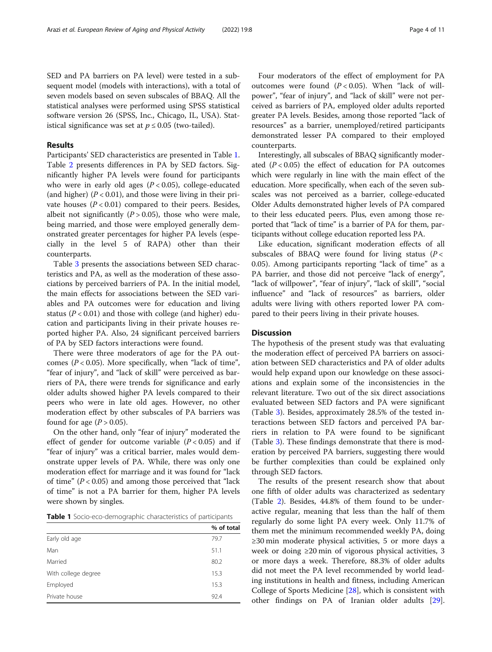SED and PA barriers on PA level) were tested in a subsequent model (models with interactions), with a total of seven models based on seven subscales of BBAQ. All the statistical analyses were performed using SPSS statistical software version 26 (SPSS, Inc., Chicago, IL, USA). Statistical significance was set at  $p \leq 0.05$  (two-tailed).

# Results

Participants' SED characteristics are presented in Table 1. Table [2](#page-4-0) presents differences in PA by SED factors. Significantly higher PA levels were found for participants who were in early old ages  $(P < 0.05)$ , college-educated (and higher) ( $P < 0.01$ ), and those were living in their private houses  $(P < 0.01)$  compared to their peers. Besides, albeit not significantly  $(P > 0.05)$ , those who were male, being married, and those were employed generally demonstrated greater percentages for higher PA levels (especially in the level 5 of RAPA) other than their counterparts.

Table [3](#page-5-0) presents the associations between SED characteristics and PA, as well as the moderation of these associations by perceived barriers of PA. In the initial model, the main effects for associations between the SED variables and PA outcomes were for education and living status ( $P < 0.01$ ) and those with college (and higher) education and participants living in their private houses reported higher PA. Also, 24 significant perceived barriers of PA by SED factors interactions were found.

There were three moderators of age for the PA outcomes ( $P < 0.05$ ). More specifically, when "lack of time", "fear of injury", and "lack of skill" were perceived as barriers of PA, there were trends for significance and early older adults showed higher PA levels compared to their peers who were in late old ages. However, no other moderation effect by other subscales of PA barriers was found for age  $(P > 0.05)$ .

On the other hand, only "fear of injury" moderated the effect of gender for outcome variable  $(P < 0.05)$  and if "fear of injury" was a critical barrier, males would demonstrate upper levels of PA. While, there was only one moderation effect for marriage and it was found for "lack of time"  $(P < 0.05)$  and among those perceived that "lack" of time" is not a PA barrier for them, higher PA levels were shown by singles.

Table 1 Socio-eco-demographic characteristics of participants

|                     | % of total |
|---------------------|------------|
| Early old age       | 79.7       |
| Man                 | 51.1       |
| Married             | 80.2       |
| With college degree | 15.3       |
| Employed            | 15.3       |
| Private house       | 92.4       |

Four moderators of the effect of employment for PA outcomes were found  $(P < 0.05)$ . When "lack of willpower", "fear of injury", and "lack of skill" were not perceived as barriers of PA, employed older adults reported greater PA levels. Besides, among those reported "lack of resources" as a barrier, unemployed/retired participants demonstrated lesser PA compared to their employed counterparts.

Interestingly, all subscales of BBAQ significantly moderated  $(P < 0.05)$  the effect of education for PA outcomes which were regularly in line with the main effect of the education. More specifically, when each of the seven subscales was not perceived as a barrier, college-educated Older Adults demonstrated higher levels of PA compared to their less educated peers. Plus, even among those reported that "lack of time" is a barrier of PA for them, participants without college education reported less PA.

Like education, significant moderation effects of all subscales of BBAQ were found for living status ( $P <$ 0.05). Among participants reporting "lack of time" as a PA barrier, and those did not perceive "lack of energy", "lack of willpower", "fear of injury", "lack of skill", "social influence" and "lack of resources" as barriers, older adults were living with others reported lower PA compared to their peers living in their private houses.

# **Discussion**

The hypothesis of the present study was that evaluating the moderation effect of perceived PA barriers on association between SED characteristics and PA of older adults would help expand upon our knowledge on these associations and explain some of the inconsistencies in the relevant literature. Two out of the six direct associations evaluated between SED factors and PA were significant (Table [3](#page-5-0)). Besides, approximately 28.5% of the tested interactions between SED factors and perceived PA barriers in relation to PA were found to be significant (Table [3\)](#page-5-0). These findings demonstrate that there is moderation by perceived PA barriers, suggesting there would be further complexities than could be explained only through SED factors.

The results of the present research show that about one fifth of older adults was characterized as sedentary (Table [2\)](#page-4-0). Besides, 44.8% of them found to be underactive regular, meaning that less than the half of them regularly do some light PA every week. Only 11.7% of them met the minimum recommended weekly PA, doing ≥30 min moderate physical activities, 5 or more days a week or doing ≥20 min of vigorous physical activities, 3 or more days a week. Therefore, 88.3% of older adults did not meet the PA level recommended by world leading institutions in health and fitness, including American College of Sports Medicine [[28\]](#page-9-0), which is consistent with other findings on PA of Iranian older adults [\[29](#page-9-0)].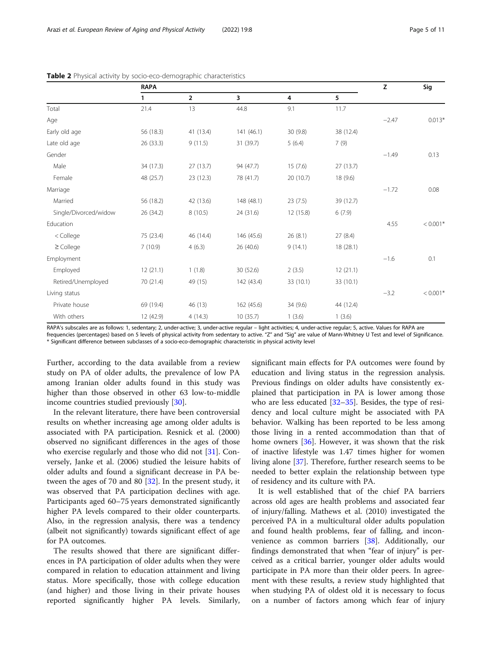| Page 5 of 11 |  |  |
|--------------|--|--|
|              |  |  |

|                       | <b>RAPA</b> |                |            | z         |           | Sig     |            |
|-----------------------|-------------|----------------|------------|-----------|-----------|---------|------------|
|                       | 1           | $\overline{2}$ | 3          | 4         | 5         |         |            |
| Total                 | 21.4        | 13             | 44.8       | 9.1       | 11.7      |         |            |
| Age                   |             |                |            |           |           | $-2.47$ | $0.013*$   |
| Early old age         | 56 (18.3)   | 41 (13.4)      | 141 (46.1) | 30(9.8)   | 38 (12.4) |         |            |
| Late old age          | 26 (33.3)   | 9(11.5)        | 31 (39.7)  | 5(6.4)    | 7(9)      |         |            |
| Gender                |             |                |            |           |           | $-1.49$ | 0.13       |
| Male                  | 34 (17.3)   | 27(13.7)       | 94 (47.7)  | 15(7.6)   | 27(13.7)  |         |            |
| Female                | 48 (25.7)   | 23 (12.3)      | 78 (41.7)  | 20 (10.7) | 18 (9.6)  |         |            |
| Marriage              |             |                |            |           |           | $-1.72$ | 0.08       |
| Married               | 56 (18.2)   | 42 (13.6)      | 148 (48.1) | 23(7.5)   | 39 (12.7) |         |            |
| Single/Divorced/widow | 26 (34.2)   | 8(10.5)        | 24 (31.6)  | 12 (15.8) | 6(7.9)    |         |            |
| <b>Education</b>      |             |                |            |           |           | 4.55    | $< 0.001*$ |
| < College             | 75 (23.4)   | 46 (14.4)      | 146 (45.6) | 26 (8.1)  | 27 (8.4)  |         |            |
| $\geq$ College        | 7(10.9)     | 4(6.3)         | 26 (40.6)  | 9(14.1)   | 18 (28.1) |         |            |
| Employment            |             |                |            |           |           | $-1.6$  | 0.1        |
| Employed              | 12(21.1)    | 1(1.8)         | 30 (52.6)  | 2(3.5)    | 12(21.1)  |         |            |
| Retired/Unemployed    | 70 (21.4)   | 49 (15)        | 142 (43.4) | 33 (10.1) | 33 (10.1) |         |            |
| Living status         |             |                |            |           |           | $-3.2$  | $< 0.001*$ |
| Private house         | 69 (19.4)   | 46 (13)        | 162 (45.6) | 34 (9.6)  | 44 (12.4) |         |            |
| With others           | 12 (42.9)   | 4(14.3)        | 10(35.7)   | 1(3.6)    | 1(3.6)    |         |            |

<span id="page-4-0"></span>

|  | Table 2 Physical activity by socio-eco-demographic characteristics |  |
|--|--------------------------------------------------------------------|--|
|  |                                                                    |  |

RAPA's subscales are as follows: 1, sedentary; 2, under-active; 3, under-active regular - light activities; 4, under-active regular; 5, active. Values for RAPA are frequencies (percentages) based on 5 levels of physical activity from sedentary to active. "Z" and "Sig" are value of Mann-Whitney U Test and level of Significance.

\* Significant difference between subclasses of a socio-eco-demographic characteristic in physical activity level

Further, according to the data available from a review study on PA of older adults, the prevalence of low PA among Iranian older adults found in this study was higher than those observed in other 63 low-to-middle income countries studied previously [[30\]](#page-9-0).

In the relevant literature, there have been controversial results on whether increasing age among older adults is associated with PA participation. Resnick et al. (2000) observed no significant differences in the ages of those who exercise regularly and those who did not [\[31](#page-9-0)]. Conversely, Janke et al. (2006) studied the leisure habits of older adults and found a significant decrease in PA between the ages of 70 and 80 [[32](#page-9-0)]. In the present study, it was observed that PA participation declines with age. Participants aged 60–75 years demonstrated significantly higher PA levels compared to their older counterparts. Also, in the regression analysis, there was a tendency (albeit not significantly) towards significant effect of age for PA outcomes.

The results showed that there are significant differences in PA participation of older adults when they were compared in relation to education attainment and living status. More specifically, those with college education (and higher) and those living in their private houses reported significantly higher PA levels. Similarly,

significant main effects for PA outcomes were found by education and living status in the regression analysis. Previous findings on older adults have consistently explained that participation in PA is lower among those who are less educated [\[32](#page-9-0)–[35\]](#page-9-0). Besides, the type of residency and local culture might be associated with PA behavior. Walking has been reported to be less among those living in a rented accommodation than that of home owners [[36](#page-9-0)]. However, it was shown that the risk of inactive lifestyle was 1.47 times higher for women living alone [\[37\]](#page-9-0). Therefore, further research seems to be needed to better explain the relationship between type of residency and its culture with PA.

It is well established that of the chief PA barriers across old ages are health problems and associated fear of injury/falling. Mathews et al. (2010) investigated the perceived PA in a multicultural older adults population and found health problems, fear of falling, and inconvenience as common barriers [\[38](#page-9-0)]. Additionally, our findings demonstrated that when "fear of injury" is perceived as a critical barrier, younger older adults would participate in PA more than their older peers. In agreement with these results, a review study highlighted that when studying PA of oldest old it is necessary to focus on a number of factors among which fear of injury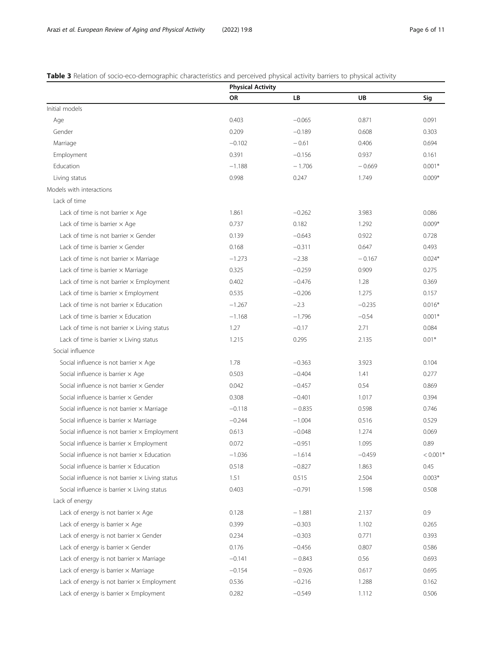# <span id="page-5-0"></span>Table 3 Relation of socio-eco-demographic characteristics and perceived physical activity barriers to physical activity

|                                                        | <b>Physical Activity</b> |          |          |            |
|--------------------------------------------------------|--------------------------|----------|----------|------------|
|                                                        | OR                       | LB       | UB       | Sig        |
| Initial models                                         |                          |          |          |            |
| Age                                                    | 0.403                    | $-0.065$ | 0.871    | 0.091      |
| Gender                                                 | 0.209                    | $-0.189$ | 0.608    | 0.303      |
| Marriage                                               | $-0.102$                 | $-0.61$  | 0.406    | 0.694      |
| Employment                                             | 0.391                    | $-0.156$ | 0.937    | 0.161      |
| Education                                              | $-1.188$                 | $-1.706$ | $-0.669$ | $0.001*$   |
| Living status                                          | 0.998                    | 0.247    | 1.749    | $0.009*$   |
| Models with interactions                               |                          |          |          |            |
| Lack of time                                           |                          |          |          |            |
| Lack of time is not barrier $\times$ Age               | 1.861                    | $-0.262$ | 3.983    | 0.086      |
| Lack of time is barrier $\times$ Age                   | 0.737                    | 0.182    | 1.292    | $0.009*$   |
| Lack of time is not barrier $\times$ Gender            | 0.139                    | $-0.643$ | 0.922    | 0.728      |
| Lack of time is barrier $\times$ Gender                | 0.168                    | $-0.311$ | 0.647    | 0.493      |
| Lack of time is not barrier $\times$ Marriage          | $-1.273$                 | $-2.38$  | $-0.167$ | $0.024*$   |
| Lack of time is barrier $\times$ Marriage              | 0.325                    | $-0.259$ | 0.909    | 0.275      |
| Lack of time is not barrier $\times$ Employment        | 0.402                    | $-0.476$ | 1.28     | 0.369      |
| Lack of time is barrier $\times$ Employment            | 0.535                    | $-0.206$ | 1.275    | 0.157      |
| Lack of time is not barrier $\times$ Education         | $-1.267$                 | $-2.3$   | $-0.235$ | $0.016*$   |
| Lack of time is barrier $\times$ Education             | $-1.168$                 | $-1.796$ | $-0.54$  | $0.001*$   |
| Lack of time is not barrier $\times$ Living status     | 1.27                     | $-0.17$  | 2.71     | 0.084      |
| Lack of time is barrier $\times$ Living status         | 1.215                    | 0.295    | 2.135    | $0.01*$    |
| Social influence                                       |                          |          |          |            |
| Social influence is not barrier $\times$ Age           | 1.78                     | $-0.363$ | 3.923    | 0.104      |
| Social influence is barrier $\times$ Age               | 0.503                    | $-0.404$ | 1.41     | 0.277      |
| Social influence is not barrier $\times$ Gender        | 0.042                    | $-0.457$ | 0.54     | 0.869      |
| Social influence is barrier $\times$ Gender            | 0.308                    | $-0.401$ | 1.017    | 0.394      |
| Social influence is not barrier $\times$ Marriage      | $-0.118$                 | $-0.835$ | 0.598    | 0.746      |
| Social influence is barrier $\times$ Marriage          | $-0.244$                 | $-1.004$ | 0.516    | 0.529      |
| Social influence is not barrier x Employment           | 0.613                    | $-0.048$ | 1.274    | 0.069      |
| Social influence is barrier $\times$ Employment        | 0.072                    | $-0.951$ | 1.095    | 0.89       |
| Social influence is not barrier x Education            | $-1.036$                 | $-1.614$ | -0.459   | $< 0.001*$ |
| Social influence is barrier $\times$ Education         | 0.518                    | $-0.827$ | 1.863    | 0.45       |
| Social influence is not barrier $\times$ Living status | 1.51                     | 0.515    | 2.504    | $0.003*$   |
| Social influence is barrier $\times$ Living status     | 0.403                    | $-0.791$ | 1.598    | 0.508      |
| Lack of energy                                         |                          |          |          |            |
| Lack of energy is not barrier $\times$ Age             | 0.128                    | $-1.881$ | 2.137    | 0.9        |
| Lack of energy is barrier $\times$ Age                 | 0.399                    | $-0.303$ | 1.102    | 0.265      |
| Lack of energy is not barrier $\times$ Gender          | 0.234                    | $-0.303$ | 0.771    | 0.393      |
| Lack of energy is barrier $\times$ Gender              | 0.176                    | $-0.456$ | 0.807    | 0.586      |
| Lack of energy is not barrier $\times$ Marriage        | $-0.141$                 | $-0.843$ | 0.56     | 0.693      |
| Lack of energy is barrier $\times$ Marriage            | $-0.154$                 | $-0.926$ | 0.617    | 0.695      |
| Lack of energy is not barrier $\times$ Employment      | 0.536                    | $-0.216$ | 1.288    | 0.162      |
| Lack of energy is barrier $\times$ Employment          | 0.282                    | $-0.549$ | 1.112    | 0.506      |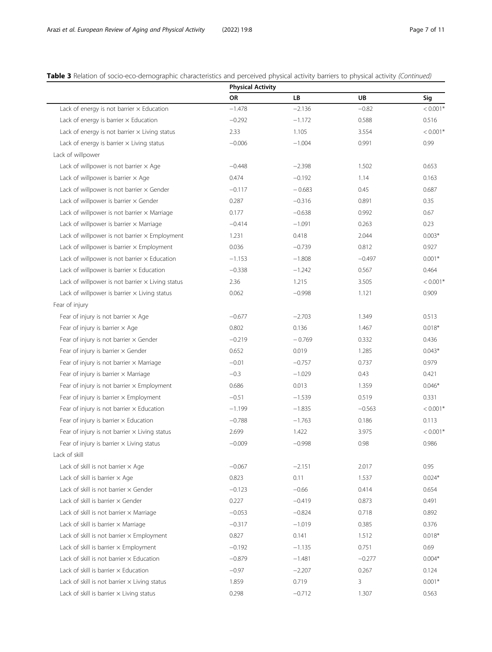Table 3 Relation of socio-eco-demographic characteristics and perceived physical activity barriers to physical activity (Continued)

|                                                         | <b>Physical Activity</b> |          |           |            |
|---------------------------------------------------------|--------------------------|----------|-----------|------------|
|                                                         | OR                       | LB       | <b>UB</b> | Sig        |
| Lack of energy is not barrier $\times$ Education        | $-1.478$                 | $-2.136$ | $-0.82$   | $< 0.001*$ |
| Lack of energy is barrier $\times$ Education            | $-0.292$                 | $-1.172$ | 0.588     | 0.516      |
| Lack of energy is not barrier $\times$ Living status    | 2.33                     | 1.105    | 3.554     | $< 0.001*$ |
| Lack of energy is barrier $\times$ Living status        | $-0.006$                 | $-1.004$ | 0.991     | 0.99       |
| Lack of willpower                                       |                          |          |           |            |
| Lack of willpower is not barrier $\times$ Age           | $-0.448$                 | $-2.398$ | 1.502     | 0.653      |
| Lack of willpower is barrier $\times$ Age               | 0.474                    | $-0.192$ | 1.14      | 0.163      |
| Lack of willpower is not barrier $\times$ Gender        | $-0.117$                 | $-0.683$ | 0.45      | 0.687      |
| Lack of willpower is barrier $\times$ Gender            | 0.287                    | $-0.316$ | 0.891     | 0.35       |
| Lack of willpower is not barrier $\times$ Marriage      | 0.177                    | $-0.638$ | 0.992     | 0.67       |
| Lack of willpower is barrier $\times$ Marriage          | $-0.414$                 | $-1.091$ | 0.263     | 0.23       |
| Lack of willpower is not barrier $\times$ Employment    | 1.231                    | 0.418    | 2.044     | $0.003*$   |
| Lack of willpower is barrier $\times$ Employment        | 0.036                    | $-0.739$ | 0.812     | 0.927      |
| Lack of willpower is not barrier $\times$ Education     | $-1.153$                 | $-1.808$ | $-0.497$  | $0.001*$   |
| Lack of willpower is barrier $\times$ Education         | $-0.338$                 | $-1.242$ | 0.567     | 0.464      |
| Lack of willpower is not barrier $\times$ Living status | 2.36                     | 1.215    | 3.505     | $< 0.001*$ |
| Lack of willpower is barrier $\times$ Living status     | 0.062                    | $-0.998$ | 1.121     | 0.909      |
| Fear of injury                                          |                          |          |           |            |
| Fear of injury is not barrier $\times$ Age              | $-0.677$                 | $-2.703$ | 1.349     | 0.513      |
| Fear of injury is barrier $\times$ Age                  | 0.802                    | 0.136    | 1.467     | $0.018*$   |
| Fear of injury is not barrier $\times$ Gender           | $-0.219$                 | $-0.769$ | 0.332     | 0.436      |
| Fear of injury is barrier $\times$ Gender               | 0.652                    | 0.019    | 1.285     | $0.043*$   |
| Fear of injury is not barrier $\times$ Marriage         | $-0.01$                  | $-0.757$ | 0.737     | 0.979      |
| Fear of injury is barrier $\times$ Marriage             | $-0.3$                   | $-1.029$ | 0.43      | 0.421      |
| Fear of injury is not barrier $\times$ Employment       | 0.686                    | 0.013    | 1.359     | $0.046*$   |
| Fear of injury is barrier $\times$ Employment           | $-0.51$                  | $-1.539$ | 0.519     | 0.331      |
| Fear of injury is not barrier $\times$ Education        | $-1.199$                 | $-1.835$ | $-0.563$  | $< 0.001*$ |
| Fear of injury is barrier $\times$ Education            | $-0.788$                 | $-1.763$ | 0.186     | 0.113      |
| Fear of injury is not barrier $\times$ Living status    | 2.699                    | 1.422    | 3.975     | $< 0.001*$ |
| Fear of injury is barrier $\times$ Living status        | $-0.009$                 | $-0.998$ | 0.98      | 0.986      |
| Lack of skill                                           |                          |          |           |            |
| Lack of skill is not barrier $\times$ Age               | $-0.067$                 | $-2.151$ | 2.017     | 0.95       |
| Lack of skill is barrier $\times$ Age                   | 0.823                    | 0.11     | 1.537     | $0.024*$   |
| Lack of skill is not barrier $\times$ Gender            | $-0.123$                 | $-0.66$  | 0.414     | 0.654      |
| Lack of skill is barrier $\times$ Gender                | 0.227                    | $-0.419$ | 0.873     | 0.491      |
| Lack of skill is not barrier $\times$ Marriage          | $-0.053$                 | $-0.824$ | 0.718     | 0.892      |
| Lack of skill is barrier $\times$ Marriage              | $-0.317$                 | $-1.019$ | 0.385     | 0.376      |
| Lack of skill is not barrier $\times$ Employment        | 0.827                    | 0.141    | 1.512     | $0.018*$   |
| Lack of skill is barrier $\times$ Employment            | $-0.192$                 | $-1.135$ | 0.751     | 0.69       |
| Lack of skill is not barrier $\times$ Education         | $-0.879$                 | $-1.481$ | $-0.277$  | $0.004*$   |
| Lack of skill is barrier $\times$ Education             | $-0.97$                  | $-2.207$ | 0.267     | 0.124      |
| Lack of skill is not barrier $\times$ Living status     | 1.859                    | 0.719    | 3         | $0.001*$   |
| Lack of skill is barrier $\times$ Living status         | 0.298                    | $-0.712$ | 1.307     | 0.563      |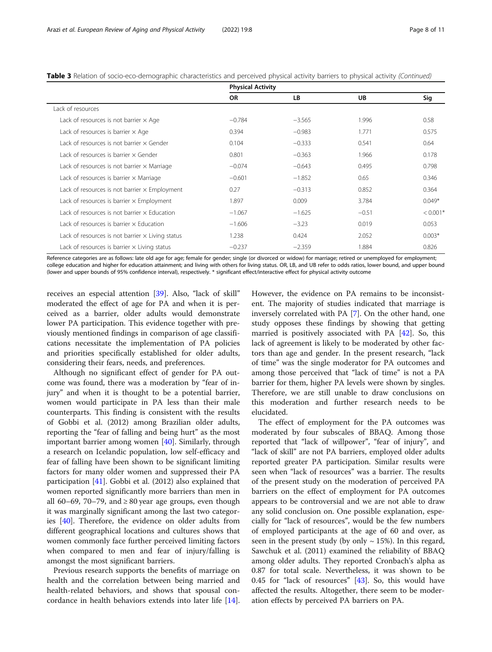|                                                         | <b>Physical Activity</b> |          |         |            |
|---------------------------------------------------------|--------------------------|----------|---------|------------|
|                                                         | <b>OR</b>                | LB.      | UB      | Sig        |
| Lack of resources                                       |                          |          |         |            |
| Lack of resources is not barrier $\times$ Age           | $-0.784$                 | $-3.565$ | 1.996   | 0.58       |
| Lack of resources is barrier $\times$ Age               | 0.394                    | $-0.983$ | 1.771   | 0.575      |
| Lack of resources is not barrier x Gender               | 0.104                    | $-0.333$ | 0.541   | 0.64       |
| Lack of resources is barrier x Gender                   | 0.801                    | $-0.363$ | 1.966   | 0.178      |
| Lack of resources is not barrier $\times$ Marriage      | $-0.074$                 | $-0.643$ | 0.495   | 0.798      |
| Lack of resources is barrier $\times$ Marriage          | $-0.601$                 | $-1.852$ | 0.65    | 0.346      |
| Lack of resources is not barrier $\times$ Employment    | 0.27                     | $-0.313$ | 0.852   | 0.364      |
| Lack of resources is barrier $\times$ Employment        | 1.897                    | 0.009    | 3.784   | $0.049*$   |
| Lack of resources is not barrier x Education            | $-1.067$                 | $-1.625$ | $-0.51$ | $< 0.001*$ |
| Lack of resources is barrier x Education                | $-1.606$                 | $-3.23$  | 0.019   | 0.053      |
| Lack of resources is not barrier $\times$ Living status | 1.238                    | 0.424    | 2.052   | $0.003*$   |
| Lack of resources is barrier $\times$ Living status     | $-0.237$                 | $-2.359$ | 1.884   | 0.826      |

Table 3 Relation of socio-eco-demographic characteristics and perceived physical activity barriers to physical activity (Continued)

Reference categories are as follows: late old age for age; female for gender; single (or divorced or widow) for marriage; retired or unemployed for employment; college education and higher for education attainment; and living with others for living status. OR, LB, and UB refer to odds ratios, lower bound, and upper bound (lower and upper bounds of 95% confidence interval), respectively. \* significant effect/interactive effect for physical activity outcome

receives an especial attention [[39\]](#page-10-0). Also, "lack of skill" moderated the effect of age for PA and when it is perceived as a barrier, older adults would demonstrate lower PA participation. This evidence together with previously mentioned findings in comparison of age classifications necessitate the implementation of PA policies and priorities specifically established for older adults, considering their fears, needs, and preferences.

Although no significant effect of gender for PA outcome was found, there was a moderation by "fear of injury" and when it is thought to be a potential barrier, women would participate in PA less than their male counterparts. This finding is consistent with the results of Gobbi et al. (2012) among Brazilian older adults, reporting the "fear of falling and being hurt" as the most important barrier among women [[40](#page-10-0)]. Similarly, through a research on Icelandic population, low self-efficacy and fear of falling have been shown to be significant limiting factors for many older women and suppressed their PA participation [[41\]](#page-10-0). Gobbi et al. (2012) also explained that women reported significantly more barriers than men in all 60–69, 70–79, and  $\geq 80$  year age groups, even though it was marginally significant among the last two categories [\[40](#page-10-0)]. Therefore, the evidence on older adults from different geographical locations and cultures shows that women commonly face further perceived limiting factors when compared to men and fear of injury/falling is amongst the most significant barriers.

Previous research supports the benefits of marriage on health and the correlation between being married and health-related behaviors, and shows that spousal concordance in health behaviors extends into later life [\[14](#page-9-0)]. However, the evidence on PA remains to be inconsistent. The majority of studies indicated that marriage is inversely correlated with PA [[7](#page-9-0)]. On the other hand, one study opposes these findings by showing that getting married is positively associated with PA [\[42](#page-10-0)]. So, this lack of agreement is likely to be moderated by other factors than age and gender. In the present research, "lack of time" was the single moderator for PA outcomes and among those perceived that "lack of time" is not a PA barrier for them, higher PA levels were shown by singles. Therefore, we are still unable to draw conclusions on this moderation and further research needs to be elucidated.

The effect of employment for the PA outcomes was moderated by four subscales of BBAQ. Among those reported that "lack of willpower", "fear of injury", and "lack of skill" are not PA barriers, employed older adults reported greater PA participation. Similar results were seen when "lack of resources" was a barrier. The results of the present study on the moderation of perceived PA barriers on the effect of employment for PA outcomes appears to be controversial and we are not able to draw any solid conclusion on. One possible explanation, especially for "lack of resources", would be the few numbers of employed participants at the age of 60 and over, as seen in the present study (by only  $\sim$  15%). In this regard, Sawchuk et al. (2011) examined the reliability of BBAQ among older adults. They reported Cronbach's alpha as 0.87 for total scale. Nevertheless, it was shown to be 0.45 for "lack of resources" [\[43\]](#page-10-0). So, this would have affected the results. Altogether, there seem to be moderation effects by perceived PA barriers on PA.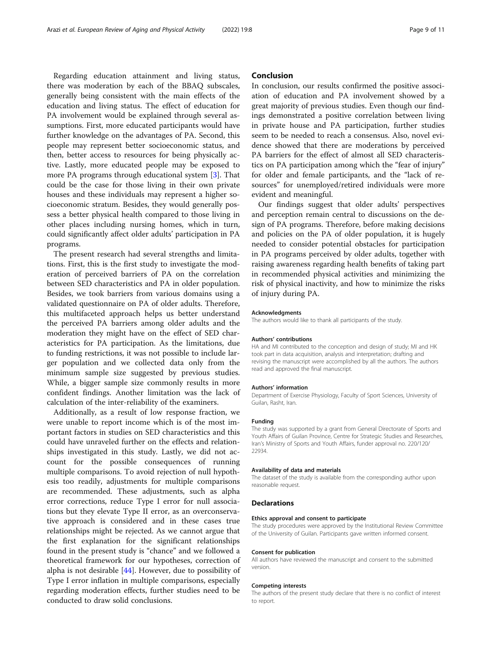Regarding education attainment and living status, there was moderation by each of the BBAQ subscales, generally being consistent with the main effects of the education and living status. The effect of education for PA involvement would be explained through several assumptions. First, more educated participants would have further knowledge on the advantages of PA. Second, this people may represent better socioeconomic status, and then, better access to resources for being physically active. Lastly, more educated people may be exposed to more PA programs through educational system [[3\]](#page-9-0). That could be the case for those living in their own private houses and these individuals may represent a higher socioeconomic stratum. Besides, they would generally possess a better physical health compared to those living in other places including nursing homes, which in turn, could significantly affect older adults' participation in PA programs.

The present research had several strengths and limitations. First, this is the first study to investigate the moderation of perceived barriers of PA on the correlation between SED characteristics and PA in older population. Besides, we took barriers from various domains using a validated questionnaire on PA of older adults. Therefore, this multifaceted approach helps us better understand the perceived PA barriers among older adults and the moderation they might have on the effect of SED characteristics for PA participation. As the limitations, due to funding restrictions, it was not possible to include larger population and we collected data only from the minimum sample size suggested by previous studies. While, a bigger sample size commonly results in more confident findings. Another limitation was the lack of calculation of the inter-reliability of the examiners.

Additionally, as a result of low response fraction, we were unable to report income which is of the most important factors in studies on SED characteristics and this could have unraveled further on the effects and relationships investigated in this study. Lastly, we did not account for the possible consequences of running multiple comparisons. To avoid rejection of null hypothesis too readily, adjustments for multiple comparisons are recommended. These adjustments, such as alpha error corrections, reduce Type I error for null associations but they elevate Type II error, as an overconservative approach is considered and in these cases true relationships might be rejected. As we cannot argue that the first explanation for the significant relationships found in the present study is "chance" and we followed a theoretical framework for our hypotheses, correction of alpha is not desirable [[44\]](#page-10-0). However, due to possibility of Type I error inflation in multiple comparisons, especially regarding moderation effects, further studies need to be conducted to draw solid conclusions.

# Conclusion

In conclusion, our results confirmed the positive association of education and PA involvement showed by a great majority of previous studies. Even though our findings demonstrated a positive correlation between living in private house and PA participation, further studies seem to be needed to reach a consensus. Also, novel evidence showed that there are moderations by perceived PA barriers for the effect of almost all SED characteristics on PA participation among which the "fear of injury" for older and female participants, and the "lack of resources" for unemployed/retired individuals were more evident and meaningful.

Our findings suggest that older adults' perspectives and perception remain central to discussions on the design of PA programs. Therefore, before making decisions and policies on the PA of older population, it is hugely needed to consider potential obstacles for participation in PA programs perceived by older adults, together with raising awareness regarding health benefits of taking part in recommended physical activities and minimizing the risk of physical inactivity, and how to minimize the risks of injury during PA.

### Acknowledgments

The authors would like to thank all participants of the study.

#### Authors' contributions

HA and MI contributed to the conception and design of study; MI and HK took part in data acquisition, analysis and interpretation; drafting and revising the manuscript were accomplished by all the authors. The authors read and approved the final manuscript.

#### Authors' information

Department of Exercise Physiology, Faculty of Sport Sciences, University of Guilan, Rasht, Iran.

### Funding

The study was supported by a grant from General Directorate of Sports and Youth Affairs of Guilan Province, Centre for Strategic Studies and Researches, Iran's Ministry of Sports and Youth Affairs, funder approval no. 220/120/ 22934.

# Availability of data and materials

The dataset of the study is available from the corresponding author upon reasonable request.

### Declarations

#### Ethics approval and consent to participate

The study procedures were approved by the Institutional Review Committee of the University of Guilan. Participants gave written informed consent.

#### Consent for publication

All authors have reviewed the manuscript and consent to the submitted version.

#### Competing interests

The authors of the present study declare that there is no conflict of interest to report.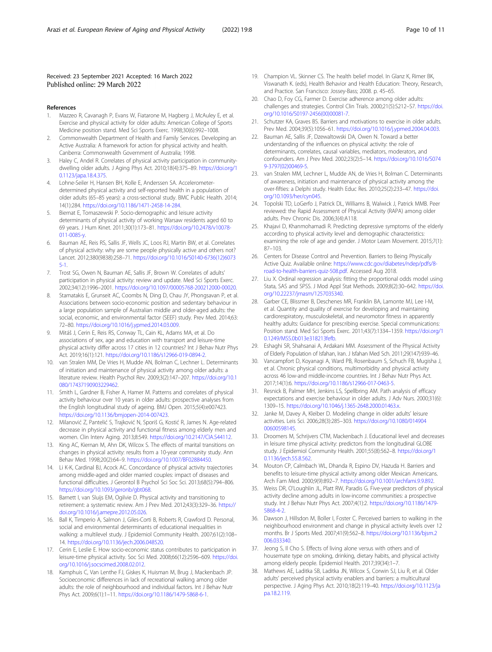## <span id="page-9-0"></span>Received: 23 September 2021 Accepted: 16 March 2022 Published online: 29 March 2022

- References
- 1. Mazzeo R, Cavanagh P, Evans W, Fiatarone M, Hagberg J, McAuley E, et al. Exercise and physical activity for older adults: American College of Sports Medicine position stand. Med Sci Sports Exerc. 1998;30(6):992–1008.
- 2. Commonwealth Department of Health and Family Services. Developing an Active Australia: A framework for action for physical activity and health. Canberra: Commonwealth Government of Australia; 1998.
- 3. Haley C, Andel R. Correlates of physical activity participation in communitydwelling older adults. J Aging Phys Act. 2010;18(4):375–89. [https://doi.org/1](https://doi.org/10.1123/japa.18.4.375) [0.1123/japa.18.4.375](https://doi.org/10.1123/japa.18.4.375).
- 4. Lohne-Seiler H, Hansen BH, Kolle E, Anderssen SA. Accelerometerdetermined physical activity and self-reported health in a population of older adults (65–85 years): a cross-sectional study. BMC Public Health. 2014; 14(1):284. <https://doi.org/10.1186/1471-2458-14-284>.
- 5. Biernat E, Tomaszewski P. Socio-demographic and leisure activity determinants of physical activity of working Warsaw residents aged 60 to 69 years. J Hum Kinet. 2011;30(1):173–81. [https://doi.org/10.2478/v10078-](https://doi.org/10.2478/v10078-011-0085-y) [011-0085-y.](https://doi.org/10.2478/v10078-011-0085-y)
- 6. Bauman AE, Reis RS, Sallis JF, Wells JC, Loos RJ, Martin BW, et al. Correlates of physical activity: why are some people physically active and others not? Lancet. 2012;380(9838):258–71. [https://doi.org/10.1016/S0140-6736\(12\)6073](https://doi.org/10.1016/S0140-6736(12)60735-1) [5-1.](https://doi.org/10.1016/S0140-6736(12)60735-1)
- 7. Trost SG, Owen N, Bauman AE, Sallis JF, Brown W. Correlates of adults' participation in physical activity: review and update. Med Sci Sports Exerc. 2002;34(12):1996–2001. [https://doi.org/10.1097/00005768-200212000-00020.](https://doi.org/10.1097/00005768-200212000-00020)
- Stamatakis E, Grunseit AC, Coombs N, Ding D, Chau JY, Phongsavan P, et al. Associations between socio-economic position and sedentary behaviour in a large population sample of Australian middle and older-aged adults: the social, economic, and environmental factor (SEEF) study. Prev Med. 2014;63: 72–80. <https://doi.org/10.1016/j.ypmed.2014.03.009>.
- 9. Mitáš J, Cerin E, Reis RS, Conway TL, Cain KL, Adams MA, et al. Do associations of sex, age and education with transport and leisure-time physical activity differ across 17 cities in 12 countries? Int J Behav Nutr Phys Act. 2019;16(1):121. <https://doi.org/10.1186/s12966-019-0894-2>.
- 10. van Stralen MM, De Vries H, Mudde AN, Bolman C, Lechner L. Determinants of initiation and maintenance of physical activity among older adults: a literature review. Health Psychol Rev. 2009;3(2):147–207. [https://doi.org/10.1](https://doi.org/10.1080/17437190903229462) [080/17437190903229462](https://doi.org/10.1080/17437190903229462).
- 11. Smith L, Gardner B, Fisher A, Hamer M. Patterns and correlates of physical activity behaviour over 10 years in older adults: prospective analyses from the English longitudinal study of ageing. BMJ Open. 2015;5(4):e007423. <https://doi.org/10.1136/bmjopen-2014-007423>.
- 12. Milanović Z, Pantelić S, Trajković N, Sporiš G, Kostić R, James N. Age-related decrease in physical activity and functional fitness among elderly men and women. Clin Interv Aging. 2013;8:549. [https://doi.org/10.2147/CIA.S44112.](https://doi.org/10.2147/CIA.S44112)
- 13. King AC, Kiernan M, Ahn DK, Wilcox S. The effects of marital transitions on changes in physical activity: results from a 10-year community study. Ann Behav Med. 1998;20(2):64–9. [https://doi.org/10.1007/BF02884450.](https://doi.org/10.1007/BF02884450)
- 14. Li K-K, Cardinal BJ, Acock AC. Concordance of physical activity trajectories among middle-aged and older married couples: impact of diseases and functional difficulties. J Gerontol B Psychol Sci Soc Sci. 2013;68(5):794–806. <https://doi.org/10.1093/geronb/gbt068>.
- 15. Barnett I, van Sluijs EM, Ogilvie D. Physical activity and transitioning to retirement: a systematic review. Am J Prev Med. 2012;43(3):329–36. [https://](https://doi.org/10.1016/j.amepre.2012.05.026) [doi.org/10.1016/j.amepre.2012.05.026.](https://doi.org/10.1016/j.amepre.2012.05.026)
- 16. Ball K, Timperio A, Salmon J, Giles-Corti B, Roberts R, Crawford D. Personal, social and environmental determinants of educational inequalities in walking: a multilevel study. J Epidemiol Community Health. 2007;61(2):108– 14. <https://doi.org/10.1136/jech.2006.048520>.
- 17. Cerin E, Leslie E. How socio-economic status contributes to participation in leisure-time physical activity. Soc Sci Med. 2008;66(12):2596–609. [https://doi.](https://doi.org/10.1016/j.socscimed.2008.02.012) [org/10.1016/j.socscimed.2008.02.012.](https://doi.org/10.1016/j.socscimed.2008.02.012)
- 18. Kamphuis C, Van Lenthe FJ, Giskes K, Huisman M, Brug J, Mackenbach JP. Socioeconomic differences in lack of recreational walking among older adults: the role of neighbourhood and individual factors. Int J Behav Nutr Phys Act. 2009;6(1):1–11. [https://doi.org/10.1186/1479-5868-6-1.](https://doi.org/10.1186/1479-5868-6-1)
- 19. Champion VL. Skinner CS. The health belief model. In Glanz K, Rimer BK, Viswanath K. (eds), Health Behavior and Health Education: Theory, Research, and Practice. San Francisco: Jossey-Bass; 2008. p. 45–65.
- 20. Chao D, Foy CG, Farmer D. Exercise adherence among older adults: challenges and strategies. Control Clin Trials. 2000;21(5):S212–S7. [https://doi.](https://doi.org/10.1016/S0197-2456(00)00081-7) [org/10.1016/S0197-2456\(00\)00081-7.](https://doi.org/10.1016/S0197-2456(00)00081-7)
- 21. Schutzer KA, Graves BS. Barriers and motivations to exercise in older adults. Prev Med. 2004;39(5):1056–61. [https://doi.org/10.1016/j.ypmed.2004.04.003.](https://doi.org/10.1016/j.ypmed.2004.04.003)
- 22. Bauman AE, Sallis JF, Dzewaltowski DA, Owen N. Toward a better understanding of the influences on physical activity: the role of determinants, correlates, causal variables, mediators, moderators, and confounders. Am J Prev Med. 2002;23(2):5–14. [https://doi.org/10.1016/S074](https://doi.org/10.1016/S0749-3797(02)00469-5) [9-3797\(02\)00469-5.](https://doi.org/10.1016/S0749-3797(02)00469-5)
- 23. van Stralen MM, Lechner L, Mudde AN, de Vries H, Bolman C. Determinants of awareness, initiation and maintenance of physical activity among the over-fifties: a Delphi study. Health Educ Res. 2010;25(2):233–47. [https://doi.](https://doi.org/10.1093/her/cyn045) [org/10.1093/her/cyn045.](https://doi.org/10.1093/her/cyn045)
- 24. Topolski TD, LoGerfo J, Patrick DL, Williams B, Walwick J, Patrick MMB. Peer reviewed: the Rapid Assessment of Physical Activity (RAPA) among older adults. Prev Chronic Dis. 2006;3(4):A118.
- 25. Khajavi D, Khanmohamadi R. Predicting depressive symptoms of the elderly according to physical activity level and demographic characteristics: examining the role of age and gender. J Motor Learn Movement. 2015;7(1): 87–103.
- 26. Centers for Disease Control and Prevention. Barriers to Being Physically Active Quiz. Available online: [https://www.cdc.gov/diabetes/ndep/pdfs/8](https://www.cdc.gov/diabetes/ndep/pdfs/8-road-to-health-barriers-quiz-508.pdf) [road-to-health-barriers-quiz-508.pdf](https://www.cdc.gov/diabetes/ndep/pdfs/8-road-to-health-barriers-quiz-508.pdf). Accessed Aug 2018.
- 27. Liu X. Ordinal regression analysis: fitting the proportional odds model using Stata, SAS and SPSS. J Mod Appl Stat Methods. 2009;8(2):30–642. [https://doi.](https://doi.org/10.22237/jmasm/1257035340) [org/10.22237/jmasm/1257035340.](https://doi.org/10.22237/jmasm/1257035340)
- 28. Garber CE, Blissmer B, Deschenes MR, Franklin BA, Lamonte MJ, Lee I-M, et al. Quantity and quality of exercise for developing and maintaining cardiorespiratory, musculoskeletal, and neuromotor fitness in apparently healthy adults: Guidance for prescribing exercise. Special communications: Position stand. Med Sci Sports Exerc. 2011;43(7):1334–1359. [https://doi.org/1](https://doi.org/10.1249/MSS.0b013e318213fefb) [0.1249/MSS.0b013e318213fefb.](https://doi.org/10.1249/MSS.0b013e318213fefb)
- 29. Eshaghi SR, Shahsanai A, Ardakani MM. Assessment of the Physical Activity of Elderly Population of Isfahan, Iran. J Isfahan Med Sch. 2011;29(147):939–46.
- 30. Vancampfort D, Koyanagi A, Ward PB, Rosenbaum S, Schuch FB, Mugisha J, et al. Chronic physical conditions, multimorbidity and physical activity across 46 low-and middle-income countries. Int J Behav Nutr Phys Act. 2017;14(1):6. [https://doi.org/10.1186/s12966-017-0463-5.](https://doi.org/10.1186/s12966-017-0463-5)
- 31. Resnick B, Palmer MH, Jenkins LS, Spellbring AM. Path analysis of efficacy expectations and exercise behaviour in older adults. J Adv Nurs. 2000;31(6): 1309–15. [https://doi.org/10.1046/j.1365-2648.2000.01463.x.](https://doi.org/10.1046/j.1365-2648.2000.01463.x)
- 32. Janke M, Davey A, Kleiber D. Modeling change in older adults' leisure activities. Leis Sci. 2006;28(3):285–303. [https://doi.org/10.1080/014904](https://doi.org/10.1080/01490400600598145) [00600598145](https://doi.org/10.1080/01490400600598145).
- 33. Droomers M, Schrijvers CTM, Mackenbach J. Educational level and decreases in leisure time physical activity: predictors from the longitudinal GLOBE study. J Epidemiol Community Health. 2001;55(8):562–8. [https://doi.org/1](https://doi.org/10.1136/jech.55.8.562) [0.1136/jech.55.8.562](https://doi.org/10.1136/jech.55.8.562).
- 34. Mouton CP, Calmbach WL, Dhanda R, Espino DV, Hazuda H. Barriers and benefits to leisure-time physical activity among older Mexican Americans. Arch Fam Med. 2000;9(9):892–7. [https://doi.org/10.1001/archfami.9.9.892.](https://doi.org/10.1001/archfami.9.9.892)
- 35. Weiss DR, O'Loughlin JL, Platt RW, Paradis G. Five-year predictors of physical activity decline among adults in low-income communities: a prospective study. Int J Behav Nutr Phys Act. 2007;4(1):2. [https://doi.org/10.1186/1479-](https://doi.org/10.1186/1479-5868-4-2) [5868-4-2](https://doi.org/10.1186/1479-5868-4-2).
- 36. Dawson J, Hillsdon M, Boller I, Foster C. Perceived barriers to walking in the neighbourhood environment and change in physical activity levels over 12 months. Br J Sports Med. 2007;41(9):562–8. [https://doi.org/10.1136/bjsm.2](https://doi.org/10.1136/bjsm.2006.033340) [006.033340.](https://doi.org/10.1136/bjsm.2006.033340)
- 37. Jeong S, Il Cho S. Effects of living alone versus with others and of housemate type on smoking, drinking, dietary habits, and physical activity among elderly people. Epidemiol Health. 2017;39(34):1–7.
- 38. Mathews AE, Laditka SB, Laditka JN, Wilcox S, Corwin SJ, Liu R, et al. Older adults' perceived physical activity enablers and barriers: a multicultural perspective. J Aging Phys Act. 2010;18(2):119–40. [https://doi.org/10.1123/ja](https://doi.org/10.1123/japa.18.2.119) [pa.18.2.119.](https://doi.org/10.1123/japa.18.2.119)